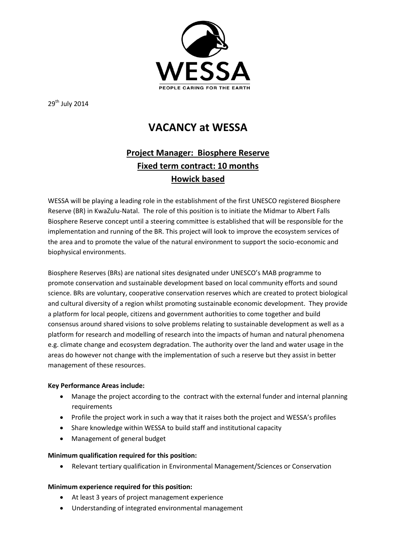

29<sup>th</sup> July 2014

# **VACANCY at WESSA**

# **Project Manager: Biosphere Reserve Fixed term contract: 10 months Howick based**

WESSA will be playing a leading role in the establishment of the first UNESCO registered Biosphere Reserve (BR) in KwaZulu-Natal. The role of this position is to initiate the Midmar to Albert Falls Biosphere Reserve concept until a steering committee is established that will be responsible for the implementation and running of the BR. This project will look to improve the ecosystem services of the area and to promote the value of the natural environment to support the socio-economic and biophysical environments.

Biosphere Reserves (BRs) are national sites designated under UNESCO's MAB programme to promote conservation and sustainable development based on local community efforts and sound science. BRs are voluntary, cooperative conservation reserves which are created to protect biological and cultural diversity of a region whilst promoting sustainable economic development. They provide a platform for local people, citizens and government authorities to come together and build consensus around shared visions to solve problems relating to sustainable development as well as a platform for research and modelling of research into the impacts of human and natural phenomena e.g. climate change and ecosystem degradation. The authority over the land and water usage in the areas do however not change with the implementation of such a reserve but they assist in better management of these resources.

# **Key Performance Areas include:**

- Manage the project according to the contract with the external funder and internal planning requirements
- Profile the project work in such a way that it raises both the project and WESSA's profiles
- Share knowledge within WESSA to build staff and institutional capacity
- Management of general budget

# **Minimum qualification required for this position:**

Relevant tertiary qualification in Environmental Management/Sciences or Conservation

# **Minimum experience required for this position:**

- At least 3 years of project management experience
- Understanding of integrated environmental management